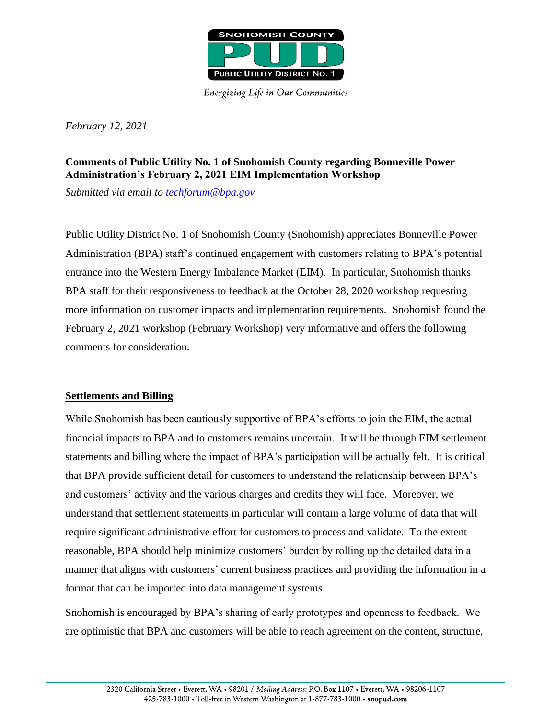

**Energizing Life in Our Communities** 

*February 12, 2021*

## **Comments of Public Utility No. 1 of Snohomish County regarding Bonneville Power Administration's February 2, 2021 EIM Implementation Workshop**

*Submitted via email to [techforum@bpa.gov](mailto:techforum@bpa.gov)*

Public Utility District No. 1 of Snohomish County (Snohomish) appreciates Bonneville Power Administration (BPA) staff's continued engagement with customers relating to BPA's potential entrance into the Western Energy Imbalance Market (EIM). In particular, Snohomish thanks BPA staff for their responsiveness to feedback at the October 28, 2020 workshop requesting more information on customer impacts and implementation requirements. Snohomish found the February 2, 2021 workshop (February Workshop) very informative and offers the following comments for consideration.

## **Settlements and Billing**

While Snohomish has been cautiously supportive of BPA's efforts to join the EIM, the actual financial impacts to BPA and to customers remains uncertain. It will be through EIM settlement statements and billing where the impact of BPA's participation will be actually felt. It is critical that BPA provide sufficient detail for customers to understand the relationship between BPA's and customers' activity and the various charges and credits they will face. Moreover, we understand that settlement statements in particular will contain a large volume of data that will require significant administrative effort for customers to process and validate. To the extent reasonable, BPA should help minimize customers' burden by rolling up the detailed data in a manner that aligns with customers' current business practices and providing the information in a format that can be imported into data management systems.

Snohomish is encouraged by BPA's sharing of early prototypes and openness to feedback. We are optimistic that BPA and customers will be able to reach agreement on the content, structure,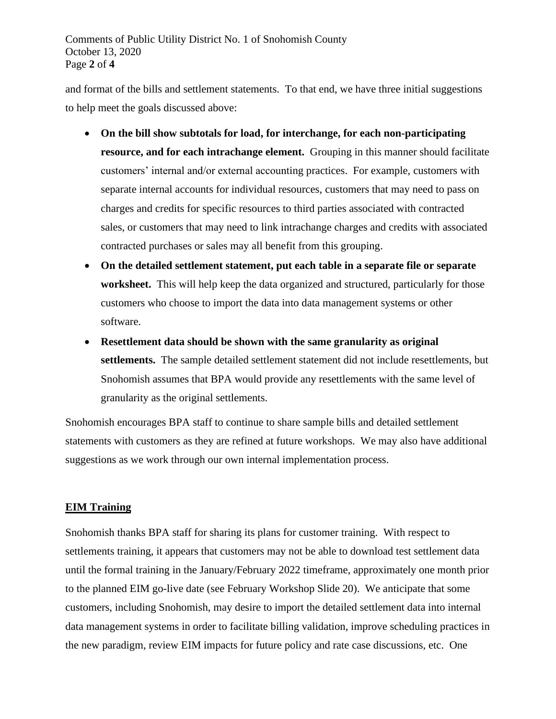Comments of Public Utility District No. 1 of Snohomish County October 13, 2020 Page **2** of **4**

and format of the bills and settlement statements. To that end, we have three initial suggestions to help meet the goals discussed above:

- **On the bill show subtotals for load, for interchange, for each non-participating resource, and for each intrachange element.** Grouping in this manner should facilitate customers' internal and/or external accounting practices. For example, customers with separate internal accounts for individual resources, customers that may need to pass on charges and credits for specific resources to third parties associated with contracted sales, or customers that may need to link intrachange charges and credits with associated contracted purchases or sales may all benefit from this grouping.
- **On the detailed settlement statement, put each table in a separate file or separate worksheet.**This will help keep the data organized and structured, particularly for those customers who choose to import the data into data management systems or other software.
- **Resettlement data should be shown with the same granularity as original settlements.** The sample detailed settlement statement did not include resettlements, but Snohomish assumes that BPA would provide any resettlements with the same level of granularity as the original settlements.

Snohomish encourages BPA staff to continue to share sample bills and detailed settlement statements with customers as they are refined at future workshops. We may also have additional suggestions as we work through our own internal implementation process.

## **EIM Training**

Snohomish thanks BPA staff for sharing its plans for customer training. With respect to settlements training, it appears that customers may not be able to download test settlement data until the formal training in the January/February 2022 timeframe, approximately one month prior to the planned EIM go-live date (see February Workshop Slide 20). We anticipate that some customers, including Snohomish, may desire to import the detailed settlement data into internal data management systems in order to facilitate billing validation, improve scheduling practices in the new paradigm, review EIM impacts for future policy and rate case discussions, etc. One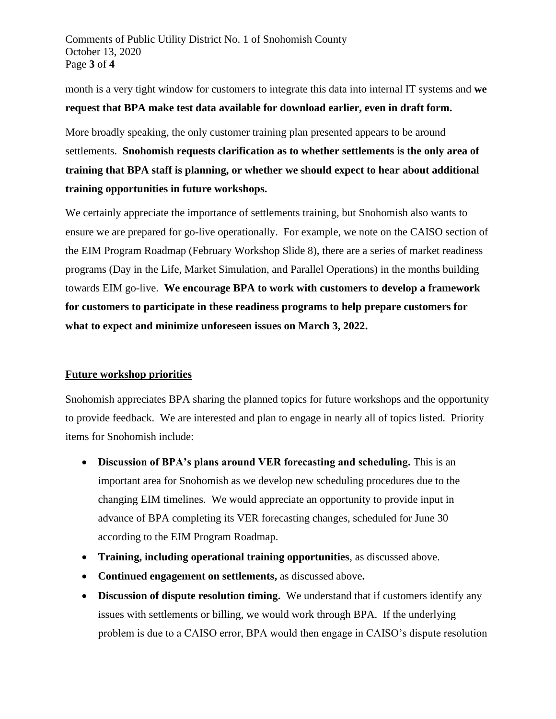Comments of Public Utility District No. 1 of Snohomish County October 13, 2020 Page **3** of **4**

month is a very tight window for customers to integrate this data into internal IT systems and **we request that BPA make test data available for download earlier, even in draft form.**

More broadly speaking, the only customer training plan presented appears to be around settlements. **Snohomish requests clarification as to whether settlements is the only area of training that BPA staff is planning, or whether we should expect to hear about additional training opportunities in future workshops.** 

We certainly appreciate the importance of settlements training, but Snohomish also wants to ensure we are prepared for go-live operationally. For example, we note on the CAISO section of the EIM Program Roadmap (February Workshop Slide 8), there are a series of market readiness programs (Day in the Life, Market Simulation, and Parallel Operations) in the months building towards EIM go-live. **We encourage BPA to work with customers to develop a framework for customers to participate in these readiness programs to help prepare customers for what to expect and minimize unforeseen issues on March 3, 2022.**

## **Future workshop priorities**

Snohomish appreciates BPA sharing the planned topics for future workshops and the opportunity to provide feedback. We are interested and plan to engage in nearly all of topics listed. Priority items for Snohomish include:

- **Discussion of BPA's plans around VER forecasting and scheduling.** This is an important area for Snohomish as we develop new scheduling procedures due to the changing EIM timelines. We would appreciate an opportunity to provide input in advance of BPA completing its VER forecasting changes, scheduled for June 30 according to the EIM Program Roadmap.
- **Training, including operational training opportunities**, as discussed above.
- **Continued engagement on settlements,** as discussed above**.**
- **Discussion of dispute resolution timing.** We understand that if customers identify any issues with settlements or billing, we would work through BPA. If the underlying problem is due to a CAISO error, BPA would then engage in CAISO's dispute resolution